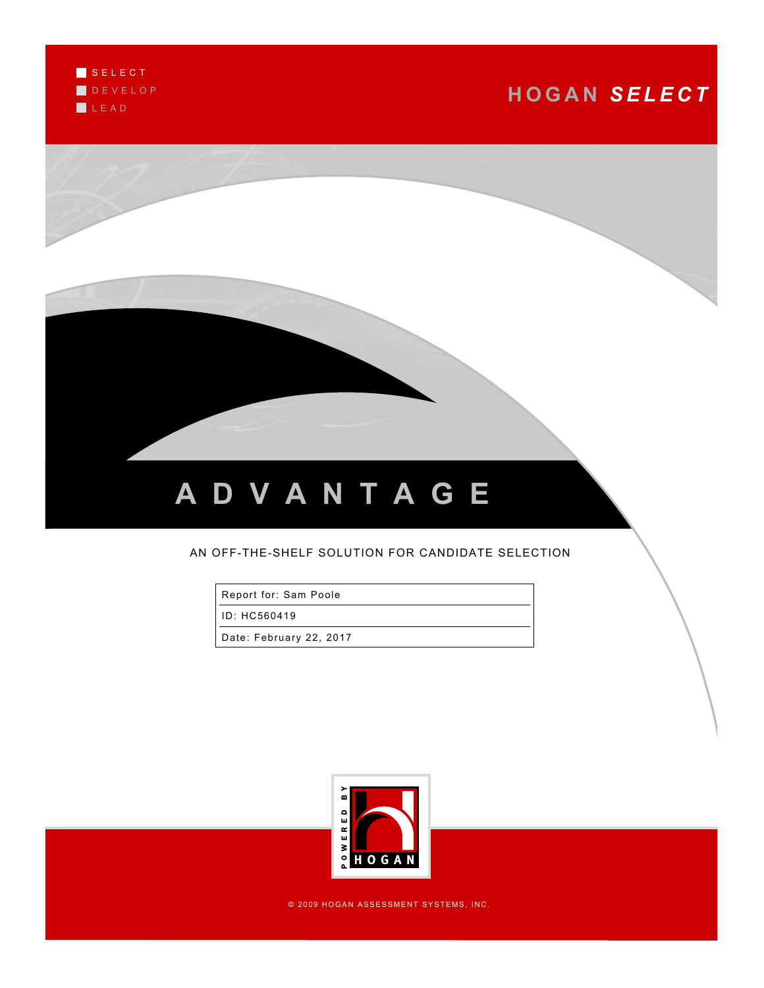S E L E C T D E V E L O P L E A D

## **H O G A N** *S E L E C T*



## AN OFF-THE-SHELF SOLUTION FOR CANDIDATE SELECTION

Report for: Sam Poole

ID: HC560419

Date: February 22, 2017



© 2009 HOGAN ASSESSMENT SYSTEMS, INC.